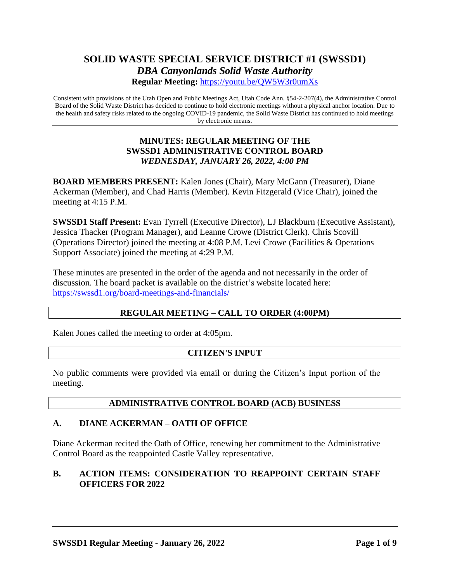# **SOLID WASTE SPECIAL SERVICE DISTRICT #1 (SWSSD1)** *DBA Canyonlands Solid Waste Authority* **Regular Meeting:** <https://youtu.be/QW5W3r0umXs>

Consistent with provisions of the Utah Open and Public Meetings Act, Utah Code Ann. §54-2-207(4), the Administrative Control Board of the Solid Waste District has decided to continue to hold electronic meetings without a physical anchor location. Due to the health and safety risks related to the ongoing COVID-19 pandemic, the Solid Waste District has continued to hold meetings by electronic means.

### **MINUTES: REGULAR MEETING OF THE SWSSD1 ADMINISTRATIVE CONTROL BOARD** *WEDNESDAY, JANUARY 26, 2022, 4:00 PM*

**BOARD MEMBERS PRESENT:** Kalen Jones (Chair), Mary McGann (Treasurer), Diane Ackerman (Member), and Chad Harris (Member). Kevin Fitzgerald (Vice Chair), joined the meeting at 4:15 P.M.

**SWSSD1 Staff Present:** Evan Tyrrell (Executive Director), LJ Blackburn (Executive Assistant), Jessica Thacker (Program Manager), and Leanne Crowe (District Clerk). Chris Scovill (Operations Director) joined the meeting at 4:08 P.M. Levi Crowe (Facilities & Operations Support Associate) joined the meeting at 4:29 P.M.

These minutes are presented in the order of the agenda and not necessarily in the order of discussion. The board packet is available on the district's website located here: <https://swssd1.org/board-meetings-and-financials/>

### **REGULAR MEETING – CALL TO ORDER (4:00PM)**

Kalen Jones called the meeting to order at 4:05pm.

### **CITIZEN'S INPUT**

No public comments were provided via email or during the Citizen's Input portion of the meeting.

### **ADMINISTRATIVE CONTROL BOARD (ACB) BUSINESS**

### **A. DIANE ACKERMAN – OATH OF OFFICE**

Diane Ackerman recited the Oath of Office, renewing her commitment to the Administrative Control Board as the reappointed Castle Valley representative.

### **B. ACTION ITEMS: CONSIDERATION TO REAPPOINT CERTAIN STAFF OFFICERS FOR 2022**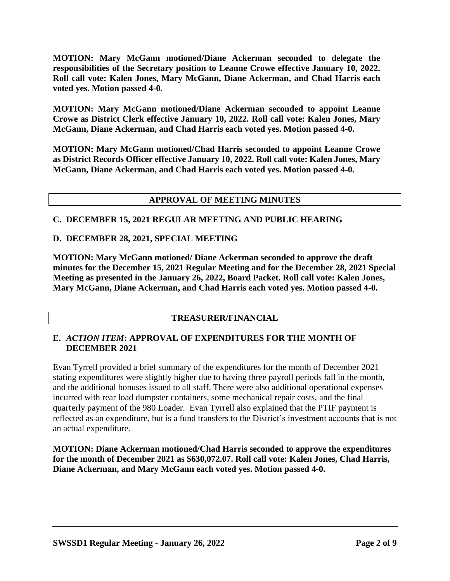**MOTION: Mary McGann motioned/Diane Ackerman seconded to delegate the responsibilities of the Secretary position to Leanne Crowe effective January 10, 2022. Roll call vote: Kalen Jones, Mary McGann, Diane Ackerman, and Chad Harris each voted yes. Motion passed 4-0.** 

**MOTION: Mary McGann motioned/Diane Ackerman seconded to appoint Leanne Crowe as District Clerk effective January 10, 2022. Roll call vote: Kalen Jones, Mary McGann, Diane Ackerman, and Chad Harris each voted yes. Motion passed 4-0.** 

**MOTION: Mary McGann motioned/Chad Harris seconded to appoint Leanne Crowe as District Records Officer effective January 10, 2022. Roll call vote: Kalen Jones, Mary McGann, Diane Ackerman, and Chad Harris each voted yes. Motion passed 4-0.** 

### **APPROVAL OF MEETING MINUTES**

### **C. DECEMBER 15, 2021 REGULAR MEETING AND PUBLIC HEARING**

### **D. DECEMBER 28, 2021, SPECIAL MEETING**

**MOTION: Mary McGann motioned/ Diane Ackerman seconded to approve the draft minutes for the December 15, 2021 Regular Meeting and for the December 28, 2021 Special Meeting as presented in the January 26, 2022, Board Packet. Roll call vote: Kalen Jones, Mary McGann, Diane Ackerman, and Chad Harris each voted yes. Motion passed 4-0.** 

### **TREASURER/FINANCIAL**

#### **E.** *ACTION ITEM***: APPROVAL OF EXPENDITURES FOR THE MONTH OF DECEMBER 2021**

Evan Tyrrell provided a brief summary of the expenditures for the month of December 2021 stating expenditures were slightly higher due to having three payroll periods fall in the month, and the additional bonuses issued to all staff. There were also additional operational expenses incurred with rear load dumpster containers, some mechanical repair costs, and the final quarterly payment of the 980 Loader. Evan Tyrrell also explained that the PTIF payment is reflected as an expenditure, but is a fund transfers to the District's investment accounts that is not an actual expenditure.

**MOTION: Diane Ackerman motioned/Chad Harris seconded to approve the expenditures for the month of December 2021 as \$630,072.07. Roll call vote: Kalen Jones, Chad Harris, Diane Ackerman, and Mary McGann each voted yes. Motion passed 4-0.**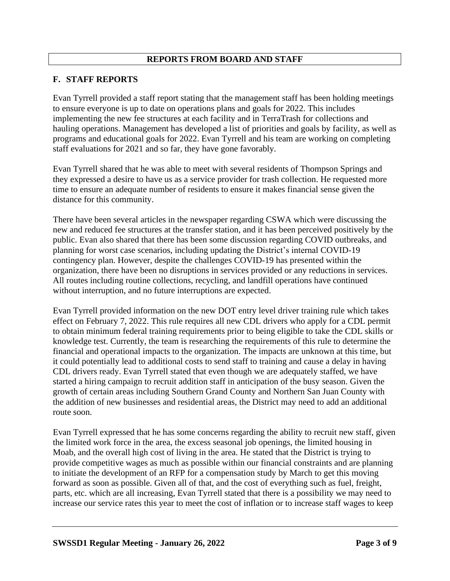## **REPORTS FROM BOARD AND STAFF**

### **F. STAFF REPORTS**

Evan Tyrrell provided a staff report stating that the management staff has been holding meetings to ensure everyone is up to date on operations plans and goals for 2022. This includes implementing the new fee structures at each facility and in TerraTrash for collections and hauling operations. Management has developed a list of priorities and goals by facility, as well as programs and educational goals for 2022. Evan Tyrrell and his team are working on completing staff evaluations for 2021 and so far, they have gone favorably.

Evan Tyrrell shared that he was able to meet with several residents of Thompson Springs and they expressed a desire to have us as a service provider for trash collection. He requested more time to ensure an adequate number of residents to ensure it makes financial sense given the distance for this community.

There have been several articles in the newspaper regarding CSWA which were discussing the new and reduced fee structures at the transfer station, and it has been perceived positively by the public. Evan also shared that there has been some discussion regarding COVID outbreaks, and planning for worst case scenarios, including updating the District's internal COVID-19 contingency plan. However, despite the challenges COVID-19 has presented within the organization, there have been no disruptions in services provided or any reductions in services. All routes including routine collections, recycling, and landfill operations have continued without interruption, and no future interruptions are expected.

Evan Tyrrell provided information on the new DOT entry level driver training rule which takes effect on February 7, 2022. This rule requires all new CDL drivers who apply for a CDL permit to obtain minimum federal training requirements prior to being eligible to take the CDL skills or knowledge test. Currently, the team is researching the requirements of this rule to determine the financial and operational impacts to the organization. The impacts are unknown at this time, but it could potentially lead to additional costs to send staff to training and cause a delay in having CDL drivers ready. Evan Tyrrell stated that even though we are adequately staffed, we have started a hiring campaign to recruit addition staff in anticipation of the busy season. Given the growth of certain areas including Southern Grand County and Northern San Juan County with the addition of new businesses and residential areas, the District may need to add an additional route soon.

Evan Tyrrell expressed that he has some concerns regarding the ability to recruit new staff, given the limited work force in the area, the excess seasonal job openings, the limited housing in Moab, and the overall high cost of living in the area. He stated that the District is trying to provide competitive wages as much as possible within our financial constraints and are planning to initiate the development of an RFP for a compensation study by March to get this moving forward as soon as possible. Given all of that, and the cost of everything such as fuel, freight, parts, etc. which are all increasing, Evan Tyrrell stated that there is a possibility we may need to increase our service rates this year to meet the cost of inflation or to increase staff wages to keep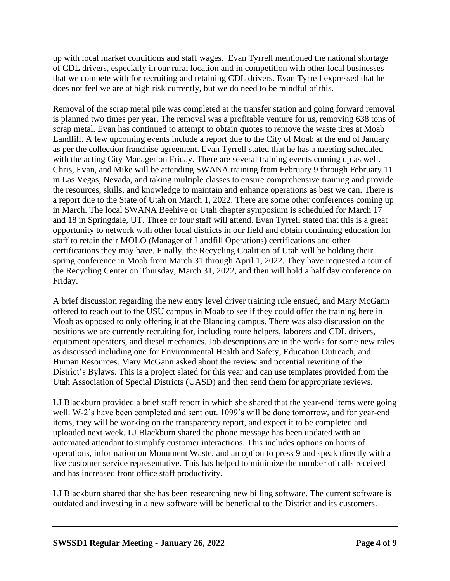up with local market conditions and staff wages. Evan Tyrrell mentioned the national shortage of CDL drivers, especially in our rural location and in competition with other local businesses that we compete with for recruiting and retaining CDL drivers. Evan Tyrrell expressed that he does not feel we are at high risk currently, but we do need to be mindful of this.

Removal of the scrap metal pile was completed at the transfer station and going forward removal is planned two times per year. The removal was a profitable venture for us, removing 638 tons of scrap metal. Evan has continued to attempt to obtain quotes to remove the waste tires at Moab Landfill. A few upcoming events include a report due to the City of Moab at the end of January as per the collection franchise agreement. Evan Tyrrell stated that he has a meeting scheduled with the acting City Manager on Friday. There are several training events coming up as well. Chris, Evan, and Mike will be attending SWANA training from February 9 through February 11 in Las Vegas, Nevada, and taking multiple classes to ensure comprehensive training and provide the resources, skills, and knowledge to maintain and enhance operations as best we can. There is a report due to the State of Utah on March 1, 2022. There are some other conferences coming up in March. The local SWANA Beehive or Utah chapter symposium is scheduled for March 17 and 18 in Springdale, UT. Three or four staff will attend. Evan Tyrrell stated that this is a great opportunity to network with other local districts in our field and obtain continuing education for staff to retain their MOLO (Manager of Landfill Operations) certifications and other certifications they may have. Finally, the Recycling Coalition of Utah will be holding their spring conference in Moab from March 31 through April 1, 2022. They have requested a tour of the Recycling Center on Thursday, March 31, 2022, and then will hold a half day conference on Friday.

A brief discussion regarding the new entry level driver training rule ensued, and Mary McGann offered to reach out to the USU campus in Moab to see if they could offer the training here in Moab as opposed to only offering it at the Blanding campus. There was also discussion on the positions we are currently recruiting for, including route helpers, laborers and CDL drivers, equipment operators, and diesel mechanics. Job descriptions are in the works for some new roles as discussed including one for Environmental Health and Safety, Education Outreach, and Human Resources. Mary McGann asked about the review and potential rewriting of the District's Bylaws. This is a project slated for this year and can use templates provided from the Utah Association of Special Districts (UASD) and then send them for appropriate reviews.

LJ Blackburn provided a brief staff report in which she shared that the year-end items were going well. W-2's have been completed and sent out. 1099's will be done tomorrow, and for year-end items, they will be working on the transparency report, and expect it to be completed and uploaded next week. LJ Blackburn shared the phone message has been updated with an automated attendant to simplify customer interactions. This includes options on hours of operations, information on Monument Waste, and an option to press 9 and speak directly with a live customer service representative. This has helped to minimize the number of calls received and has increased front office staff productivity.

LJ Blackburn shared that she has been researching new billing software. The current software is outdated and investing in a new software will be beneficial to the District and its customers.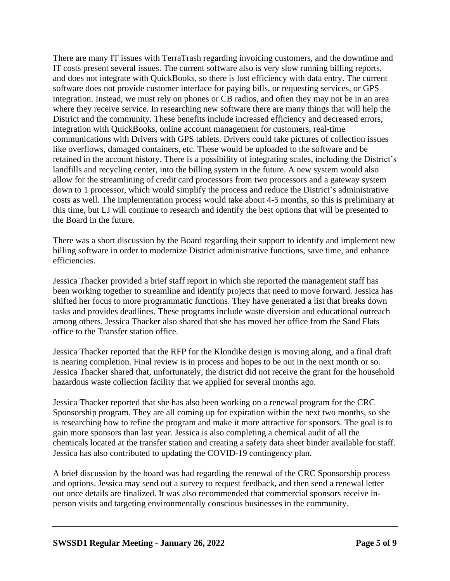There are many IT issues with TerraTrash regarding invoicing customers, and the downtime and IT costs present several issues. The current software also is very slow running billing reports, and does not integrate with QuickBooks, so there is lost efficiency with data entry. The current software does not provide customer interface for paying bills, or requesting services, or GPS integration. Instead, we must rely on phones or CB radios, and often they may not be in an area where they receive service. In researching new software there are many things that will help the District and the community. These benefits include increased efficiency and decreased errors, integration with QuickBooks, online account management for customers, real-time communications with Drivers with GPS tablets. Drivers could take pictures of collection issues like overflows, damaged containers, etc. These would be uploaded to the software and be retained in the account history. There is a possibility of integrating scales, including the District's landfills and recycling center, into the billing system in the future. A new system would also allow for the streamlining of credit card processors from two processors and a gateway system down to 1 processor, which would simplify the process and reduce the District's administrative costs as well. The implementation process would take about 4-5 months, so this is preliminary at this time, but LJ will continue to research and identify the best options that will be presented to the Board in the future.

There was a short discussion by the Board regarding their support to identify and implement new billing software in order to modernize District administrative functions, save time, and enhance efficiencies.

Jessica Thacker provided a brief staff report in which she reported the management staff has been working together to streamline and identify projects that need to move forward. Jessica has shifted her focus to more programmatic functions. They have generated a list that breaks down tasks and provides deadlines. These programs include waste diversion and educational outreach among others. Jessica Thacker also shared that she has moved her office from the Sand Flats office to the Transfer station office.

Jessica Thacker reported that the RFP for the Klondike design is moving along, and a final draft is nearing completion. Final review is in process and hopes to be out in the next month or so. Jessica Thacker shared that, unfortunately, the district did not receive the grant for the household hazardous waste collection facility that we applied for several months ago.

Jessica Thacker reported that she has also been working on a renewal program for the CRC Sponsorship program. They are all coming up for expiration within the next two months, so she is researching how to refine the program and make it more attractive for sponsors. The goal is to gain more sponsors than last year. Jessica is also completing a chemical audit of all the chemicals located at the transfer station and creating a safety data sheet binder available for staff. Jessica has also contributed to updating the COVID-19 contingency plan.

A brief discussion by the board was had regarding the renewal of the CRC Sponsorship process and options. Jessica may send out a survey to request feedback, and then send a renewal letter out once details are finalized. It was also recommended that commercial sponsors receive inperson visits and targeting environmentally conscious businesses in the community.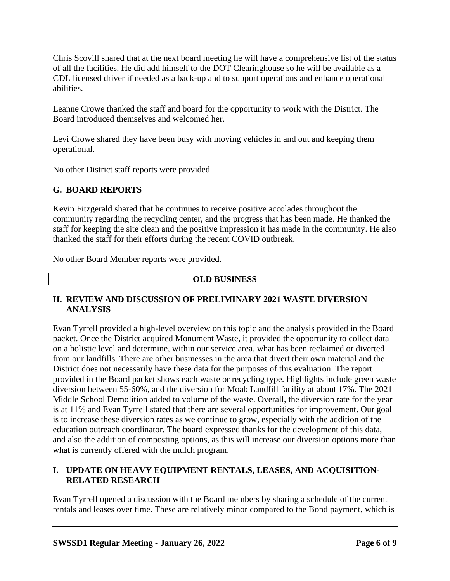Chris Scovill shared that at the next board meeting he will have a comprehensive list of the status of all the facilities. He did add himself to the DOT Clearinghouse so he will be available as a CDL licensed driver if needed as a back-up and to support operations and enhance operational abilities.

Leanne Crowe thanked the staff and board for the opportunity to work with the District. The Board introduced themselves and welcomed her.

Levi Crowe shared they have been busy with moving vehicles in and out and keeping them operational.

No other District staff reports were provided.

## **G. BOARD REPORTS**

Kevin Fitzgerald shared that he continues to receive positive accolades throughout the community regarding the recycling center, and the progress that has been made. He thanked the staff for keeping the site clean and the positive impression it has made in the community. He also thanked the staff for their efforts during the recent COVID outbreak.

No other Board Member reports were provided.

### **OLD BUSINESS**

### **H. REVIEW AND DISCUSSION OF PRELIMINARY 2021 WASTE DIVERSION ANALYSIS**

Evan Tyrrell provided a high-level overview on this topic and the analysis provided in the Board packet. Once the District acquired Monument Waste, it provided the opportunity to collect data on a holistic level and determine, within our service area, what has been reclaimed or diverted from our landfills. There are other businesses in the area that divert their own material and the District does not necessarily have these data for the purposes of this evaluation. The report provided in the Board packet shows each waste or recycling type. Highlights include green waste diversion between 55-60%, and the diversion for Moab Landfill facility at about 17%. The 2021 Middle School Demolition added to volume of the waste. Overall, the diversion rate for the year is at 11% and Evan Tyrrell stated that there are several opportunities for improvement. Our goal is to increase these diversion rates as we continue to grow, especially with the addition of the education outreach coordinator. The board expressed thanks for the development of this data, and also the addition of composting options, as this will increase our diversion options more than what is currently offered with the mulch program.

### **I. UPDATE ON HEAVY EQUIPMENT RENTALS, LEASES, AND ACQUISITION-RELATED RESEARCH**

Evan Tyrrell opened a discussion with the Board members by sharing a schedule of the current rentals and leases over time. These are relatively minor compared to the Bond payment, which is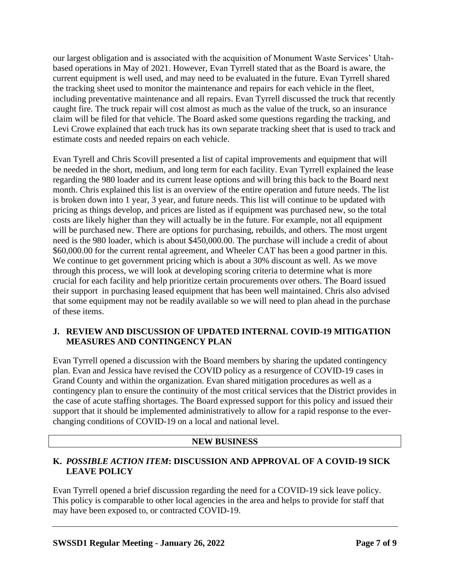our largest obligation and is associated with the acquisition of Monument Waste Services' Utahbased operations in May of 2021. However, Evan Tyrrell stated that as the Board is aware, the current equipment is well used, and may need to be evaluated in the future. Evan Tyrrell shared the tracking sheet used to monitor the maintenance and repairs for each vehicle in the fleet, including preventative maintenance and all repairs. Evan Tyrrell discussed the truck that recently caught fire. The truck repair will cost almost as much as the value of the truck, so an insurance claim will be filed for that vehicle. The Board asked some questions regarding the tracking, and Levi Crowe explained that each truck has its own separate tracking sheet that is used to track and estimate costs and needed repairs on each vehicle.

Evan Tyrell and Chris Scovill presented a list of capital improvements and equipment that will be needed in the short, medium, and long term for each facility. Evan Tyrrell explained the lease regarding the 980 loader and its current lease options and will bring this back to the Board next month. Chris explained this list is an overview of the entire operation and future needs. The list is broken down into 1 year, 3 year, and future needs. This list will continue to be updated with pricing as things develop, and prices are listed as if equipment was purchased new, so the total costs are likely higher than they will actually be in the future. For example, not all equipment will be purchased new. There are options for purchasing, rebuilds, and others. The most urgent need is the 980 loader, which is about \$450,000.00. The purchase will include a credit of about \$60,000.00 for the current rental agreement, and Wheeler CAT has been a good partner in this. We continue to get government pricing which is about a 30% discount as well. As we move through this process, we will look at developing scoring criteria to determine what is more crucial for each facility and help prioritize certain procurements over others. The Board issued their support in purchasing leased equipment that has been well maintained. Chris also advised that some equipment may not be readily available so we will need to plan ahead in the purchase of these items.

### **J. REVIEW AND DISCUSSION OF UPDATED INTERNAL COVID-19 MITIGATION MEASURES AND CONTINGENCY PLAN**

Evan Tyrrell opened a discussion with the Board members by sharing the updated contingency plan. Evan and Jessica have revised the COVID policy as a resurgence of COVID-19 cases in Grand County and within the organization. Evan shared mitigation procedures as well as a contingency plan to ensure the continuity of the most critical services that the District provides in the case of acute staffing shortages. The Board expressed support for this policy and issued their support that it should be implemented administratively to allow for a rapid response to the everchanging conditions of COVID-19 on a local and national level.

### **NEW BUSINESS**

## **K.** *POSSIBLE ACTION ITEM***: DISCUSSION AND APPROVAL OF A COVID-19 SICK LEAVE POLICY**

Evan Tyrrell opened a brief discussion regarding the need for a COVID-19 sick leave policy. This policy is comparable to other local agencies in the area and helps to provide for staff that may have been exposed to, or contracted COVID-19.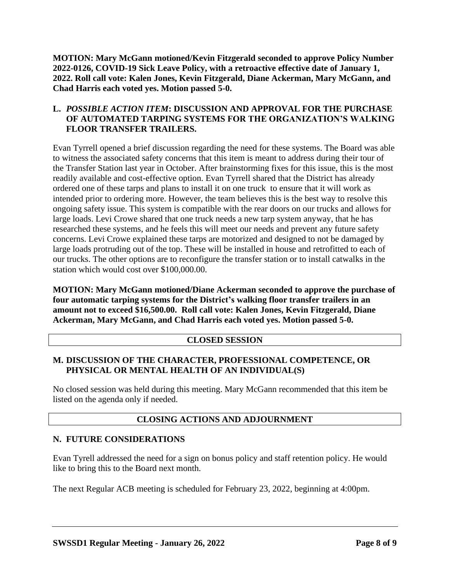**MOTION: Mary McGann motioned/Kevin Fitzgerald seconded to approve Policy Number 2022-0126, COVID-19 Sick Leave Policy, with a retroactive effective date of January 1, 2022. Roll call vote: Kalen Jones, Kevin Fitzgerald, Diane Ackerman, Mary McGann, and Chad Harris each voted yes. Motion passed 5-0.**

### **L.** *POSSIBLE ACTION ITEM***: DISCUSSION AND APPROVAL FOR THE PURCHASE OF AUTOMATED TARPING SYSTEMS FOR THE ORGANIZATION'S WALKING FLOOR TRANSFER TRAILERS.**

Evan Tyrrell opened a brief discussion regarding the need for these systems. The Board was able to witness the associated safety concerns that this item is meant to address during their tour of the Transfer Station last year in October. After brainstorming fixes for this issue, this is the most readily available and cost-effective option. Evan Tyrrell shared that the District has already ordered one of these tarps and plans to install it on one truck to ensure that it will work as intended prior to ordering more. However, the team believes this is the best way to resolve this ongoing safety issue. This system is compatible with the rear doors on our trucks and allows for large loads. Levi Crowe shared that one truck needs a new tarp system anyway, that he has researched these systems, and he feels this will meet our needs and prevent any future safety concerns. Levi Crowe explained these tarps are motorized and designed to not be damaged by large loads protruding out of the top. These will be installed in house and retrofitted to each of our trucks. The other options are to reconfigure the transfer station or to install catwalks in the station which would cost over \$100,000.00.

**MOTION: Mary McGann motioned/Diane Ackerman seconded to approve the purchase of four automatic tarping systems for the District's walking floor transfer trailers in an amount not to exceed \$16,500.00. Roll call vote: Kalen Jones, Kevin Fitzgerald, Diane Ackerman, Mary McGann, and Chad Harris each voted yes. Motion passed 5-0.**

### **CLOSED SESSION**

### **M. DISCUSSION OF THE CHARACTER, PROFESSIONAL COMPETENCE, OR PHYSICAL OR MENTAL HEALTH OF AN INDIVIDUAL(S)**

No closed session was held during this meeting. Mary McGann recommended that this item be listed on the agenda only if needed.

### **CLOSING ACTIONS AND ADJOURNMENT**

#### **N. FUTURE CONSIDERATIONS**

Evan Tyrell addressed the need for a sign on bonus policy and staff retention policy. He would like to bring this to the Board next month.

The next Regular ACB meeting is scheduled for February 23, 2022, beginning at 4:00pm.